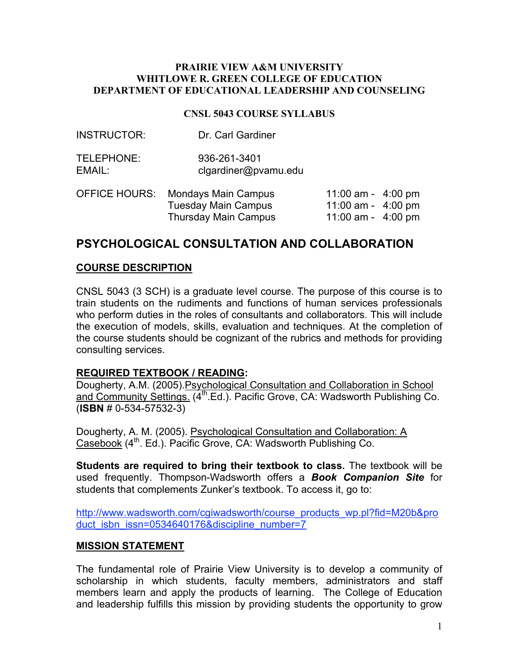#### **PRAIRIE VIEW A&M UNIVERSITY WHITLOWE R. GREEN COLLEGE OF EDUCATION DEPARTMENT OF EDUCATIONAL LEADERSHIP AND COUNSELING**

#### **CNSL 5043 COURSE SYLLABUS**

| <b>INSTRUCTOR:</b>   | Dr. Carl Gardiner                    |       |
|----------------------|--------------------------------------|-------|
| TELEPHONE:<br>EMAIL: | 936-261-3401<br>clgardiner@pvamu.edu |       |
|                      | OFFICE HOURS: Mondavs Main Campus    | 11:00 |

| OFFICE HOURS: | <b>Mondays Main Campus</b> | 11:00 am - $4:00 \text{ pm}$ |  |
|---------------|----------------------------|------------------------------|--|
|               | Tuesday Main Campus        | 11:00 am - $4:00 \text{ pm}$ |  |
|               | Thursday Main Campus       | 11:00 am - $4:00 \text{ pm}$ |  |

# **PSYCHOLOGICAL CONSULTATION AND COLLABORATION**

#### **COURSE DESCRIPTION**

CNSL 5043 (3 SCH) is a graduate level course. The purpose of this course is to train students on the rudiments and functions of human services professionals who perform duties in the roles of consultants and collaborators. This will include the execution of models, skills, evaluation and techniques. At the completion of the course students should be cognizant of the rubrics and methods for providing consulting services.

## **REQUIRED TEXTBOOK / READING:**

Dougherty, A.M. (2005).Psychological Consultation and Collaboration in School and Community Settings. (4<sup>th</sup> Ed.). Pacific Grove, CA: Wadsworth Publishing Co. (**ISBN** # 0-534-57532-3)

Dougherty, A. M. (2005). Psychological Consultation and Collaboration: A Casebook (4<sup>th</sup>. Ed.). Pacific Grove, CA: Wadsworth Publishing Co.

**Students are required to bring their textbook to class.** The textbook will be used frequently. Thompson-Wadsworth offers a *Book Companion Site* for students that complements Zunker's textbook. To access it, go to:

http://www.wadsworth.com/cgiwadsworth/course\_products\_wp.pl?fid=M20b&pro duct isbn issn=0534640176&discipline\_number=7

#### **MISSION STATEMENT**

The fundamental role of Prairie View University is to develop a community of scholarship in which students, faculty members, administrators and staff members learn and apply the products of learning. The College of Education and leadership fulfills this mission by providing students the opportunity to grow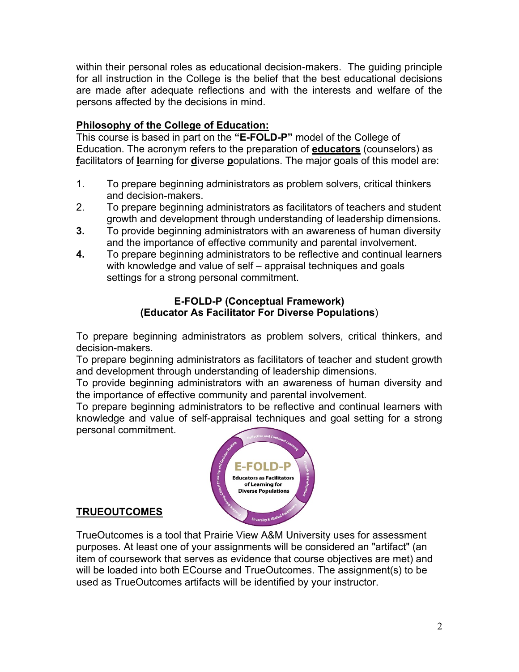within their personal roles as educational decision-makers. The guiding principle for all instruction in the College is the belief that the best educational decisions are made after adequate reflections and with the interests and welfare of the persons affected by the decisions in mind.

# **Philosophy of the College of Education:**

This course is based in part on the **"E-FOLD-P"** model of the College of Education. The acronym refers to the preparation of **educators** (counselors) as **f**acilitators of **l**earning for **d**iverse **p**opulations. The major goals of this model are:

- 1. To prepare beginning administrators as problem solvers, critical thinkers and decision-makers.
- 2. To prepare beginning administrators as facilitators of teachers and student growth and development through understanding of leadership dimensions.
- **3.** To provide beginning administrators with an awareness of human diversity and the importance of effective community and parental involvement.
- **4.** To prepare beginning administrators to be reflective and continual learners with knowledge and value of self – appraisal techniques and goals settings for a strong personal commitment.

## **E-FOLD-P (Conceptual Framework) (Educator As Facilitator For Diverse Populations**)

To prepare beginning administrators as problem solvers, critical thinkers, and decision-makers.

To prepare beginning administrators as facilitators of teacher and student growth and development through understanding of leadership dimensions.

To provide beginning administrators with an awareness of human diversity and the importance of effective community and parental involvement.

To prepare beginning administrators to be reflective and continual learners with knowledge and value of self-appraisal techniques and goal setting for a strong personal commitment.



## **TRUEOUTCOMES**

TrueOutcomes is a tool that Prairie View A&M University uses for assessment purposes. At least one of your assignments will be considered an "artifact" (an item of coursework that serves as evidence that course objectives are met) and will be loaded into both ECourse and TrueOutcomes. The assignment(s) to be used as TrueOutcomes artifacts will be identified by your instructor.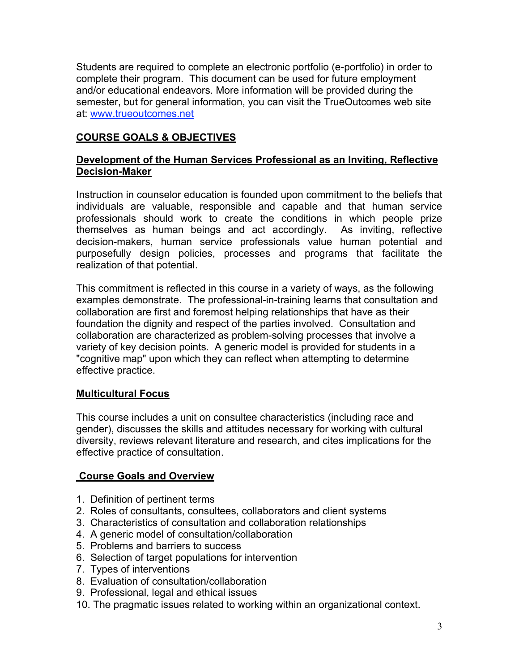Students are required to complete an electronic portfolio (e-portfolio) in order to complete their program. This document can be used for future employment and/or educational endeavors. More information will be provided during the semester, but for general information, you can visit the TrueOutcomes web site at: www.trueoutcomes.net

# **COURSE GOALS & OBJECTIVES**

## **Development of the Human Services Professional as an Inviting, Reflective Decision-Maker**

Instruction in counselor education is founded upon commitment to the beliefs that individuals are valuable, responsible and capable and that human service professionals should work to create the conditions in which people prize themselves as human beings and act accordingly. As inviting, reflective decision-makers, human service professionals value human potential and purposefully design policies, processes and programs that facilitate the realization of that potential.

This commitment is reflected in this course in a variety of ways, as the following examples demonstrate. The professional-in-training learns that consultation and collaboration are first and foremost helping relationships that have as their foundation the dignity and respect of the parties involved. Consultation and collaboration are characterized as problem-solving processes that involve a variety of key decision points. A generic model is provided for students in a "cognitive map" upon which they can reflect when attempting to determine effective practice.

## **Multicultural Focus**

This course includes a unit on consultee characteristics (including race and gender), discusses the skills and attitudes necessary for working with cultural diversity, reviews relevant literature and research, and cites implications for the effective practice of consultation.

## **Course Goals and Overview**

- 1. Definition of pertinent terms
- 2. Roles of consultants, consultees, collaborators and client systems
- 3. Characteristics of consultation and collaboration relationships
- 4. A generic model of consultation/collaboration
- 5. Problems and barriers to success
- 6. Selection of target populations for intervention
- 7. Types of interventions
- 8. Evaluation of consultation/collaboration
- 9. Professional, legal and ethical issues
- 10. The pragmatic issues related to working within an organizational context.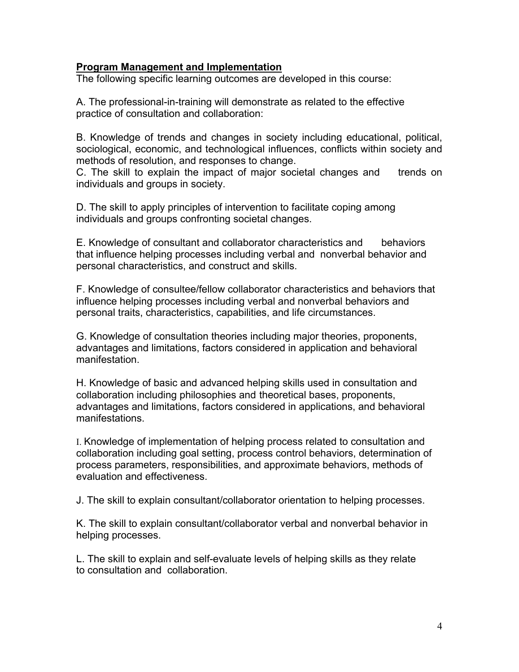## **Program Management and Implementation**

The following specific learning outcomes are developed in this course:

A. The professional-in-training will demonstrate as related to the effective practice of consultation and collaboration:

B. Knowledge of trends and changes in society including educational, political, sociological, economic, and technological influences, conflicts within society and methods of resolution, and responses to change.

C. The skill to explain the impact of major societal changes and trends on individuals and groups in society.

D. The skill to apply principles of intervention to facilitate coping among individuals and groups confronting societal changes.

E. Knowledge of consultant and collaborator characteristics and behaviors that influence helping processes including verbal and nonverbal behavior and personal characteristics, and construct and skills.

F. Knowledge of consultee/fellow collaborator characteristics and behaviors that influence helping processes including verbal and nonverbal behaviors and personal traits, characteristics, capabilities, and life circumstances.

G. Knowledge of consultation theories including major theories, proponents, advantages and limitations, factors considered in application and behavioral manifestation.

H. Knowledge of basic and advanced helping skills used in consultation and collaboration including philosophies and theoretical bases, proponents, advantages and limitations, factors considered in applications, and behavioral manifestations.

I. Knowledge of implementation of helping process related to consultation and collaboration including goal setting, process control behaviors, determination of process parameters, responsibilities, and approximate behaviors, methods of evaluation and effectiveness.

J. The skill to explain consultant/collaborator orientation to helping processes.

K. The skill to explain consultant/collaborator verbal and nonverbal behavior in helping processes.

L. The skill to explain and self-evaluate levels of helping skills as they relate to consultation and collaboration.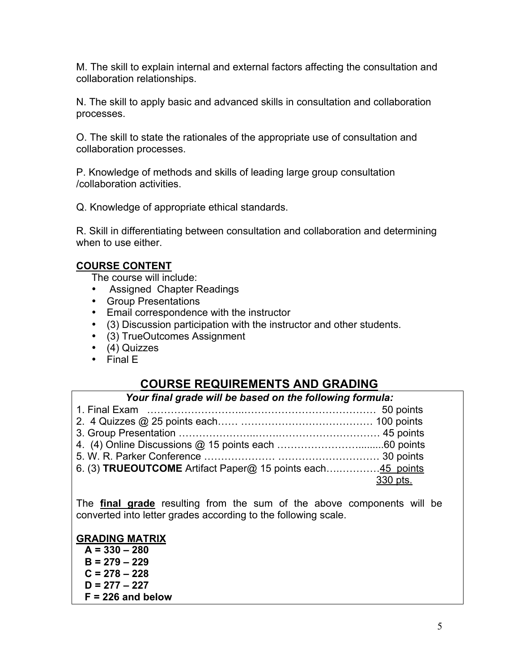M. The skill to explain internal and external factors affecting the consultation and collaboration relationships.

N. The skill to apply basic and advanced skills in consultation and collaboration processes.

O. The skill to state the rationales of the appropriate use of consultation and collaboration processes.

P. Knowledge of methods and skills of leading large group consultation /collaboration activities.

Q. Knowledge of appropriate ethical standards.

R. Skill in differentiating between consultation and collaboration and determining when to use either.

## **COURSE CONTENT**

The course will include:

- Assigned Chapter Readings
- Group Presentations
- Email correspondence with the instructor
- (3) Discussion participation with the instructor and other students.
- (3) TrueOutcomes Assignment
- (4) Quizzes
- Final E

# **COURSE REQUIREMENTS AND GRADING**

*Your final grade will be based on the following formula:*

| 6. (3) <b>TRUEOUTCOME</b> Artifact Paper@ 15 points each45 points |
|-------------------------------------------------------------------|
| 330 pts.                                                          |
|                                                                   |

The **final grade** resulting from the sum of the above components will be converted into letter grades according to the following scale.

## **GRADING MATRIX**

 **A = 330 – 280 B = 279 – 229 C = 278 – 228 D = 277 – 227 F = 226 and below**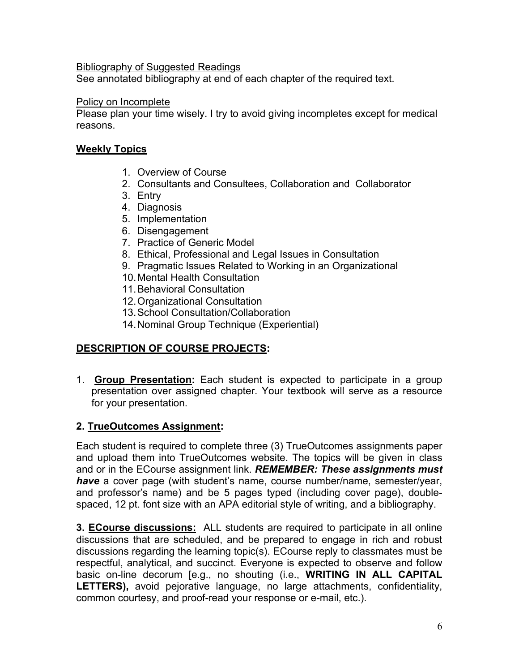## Bibliography of Suggested Readings

See annotated bibliography at end of each chapter of the required text.

## Policy on Incomplete

Please plan your time wisely. I try to avoid giving incompletes except for medical reasons.

## **Weekly Topics**

- 1. Overview of Course
- 2. Consultants and Consultees, Collaboration and Collaborator
- 3. Entry
- 4. Diagnosis
- 5. Implementation
- 6. Disengagement
- 7. Practice of Generic Model
- 8. Ethical, Professional and Legal Issues in Consultation
- 9. Pragmatic Issues Related to Working in an Organizational
- 10.Mental Health Consultation
- 11.Behavioral Consultation
- 12.Organizational Consultation
- 13.School Consultation/Collaboration
- 14.Nominal Group Technique (Experiential)

## **DESCRIPTION OF COURSE PROJECTS:**

1. **Group Presentation:** Each student is expected to participate in a group presentation over assigned chapter. Your textbook will serve as a resource for your presentation.

## **2. TrueOutcomes Assignment:**

Each student is required to complete three (3) TrueOutcomes assignments paper and upload them into TrueOutcomes website. The topics will be given in class and or in the ECourse assignment link. *REMEMBER: These assignments must have* a cover page (with student's name, course number/name, semester/year, and professor's name) and be 5 pages typed (including cover page), doublespaced, 12 pt. font size with an APA editorial style of writing, and a bibliography.

**3. ECourse discussions:** ALL students are required to participate in all online discussions that are scheduled, and be prepared to engage in rich and robust discussions regarding the learning topic(s). ECourse reply to classmates must be respectful, analytical, and succinct. Everyone is expected to observe and follow basic on-line decorum [e.g., no shouting (i.e., **WRITING IN ALL CAPITAL LETTERS),** avoid pejorative language, no large attachments, confidentiality, common courtesy, and proof-read your response or e-mail, etc.).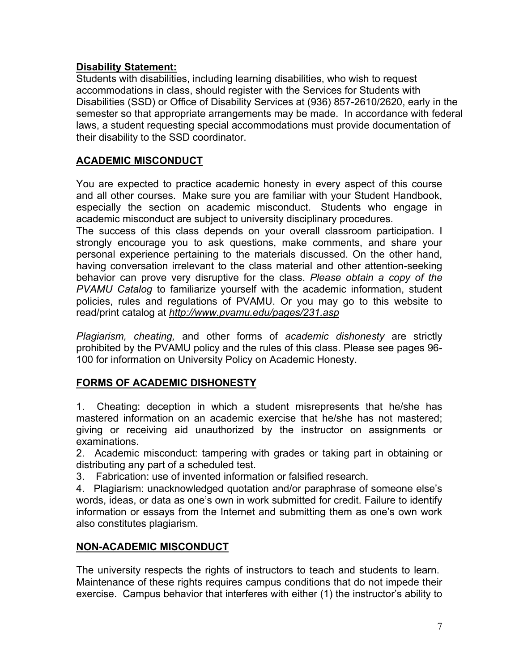# **Disability Statement:**

Students with disabilities, including learning disabilities, who wish to request accommodations in class, should register with the Services for Students with Disabilities (SSD) or Office of Disability Services at (936) 857-2610/2620, early in the semester so that appropriate arrangements may be made. In accordance with federal laws, a student requesting special accommodations must provide documentation of their disability to the SSD coordinator.

# **ACADEMIC MISCONDUCT**

You are expected to practice academic honesty in every aspect of this course and all other courses. Make sure you are familiar with your Student Handbook, especially the section on academic misconduct. Students who engage in academic misconduct are subject to university disciplinary procedures.

The success of this class depends on your overall classroom participation. I strongly encourage you to ask questions, make comments, and share your personal experience pertaining to the materials discussed. On the other hand, having conversation irrelevant to the class material and other attention-seeking behavior can prove very disruptive for the class. *Please obtain a copy of the PVAMU Catalog* to familiarize yourself with the academic information, student policies, rules and regulations of PVAMU. Or you may go to this website to read/print catalog at *http://www.pvamu.edu/pages/231.asp*

*Plagiarism, cheating,* and other forms of *academic dishonesty* are strictly prohibited by the PVAMU policy and the rules of this class. Please see pages 96- 100 for information on University Policy on Academic Honesty.

# **FORMS OF ACADEMIC DISHONESTY**

1. Cheating: deception in which a student misrepresents that he/she has mastered information on an academic exercise that he/she has not mastered; giving or receiving aid unauthorized by the instructor on assignments or examinations.

2. Academic misconduct: tampering with grades or taking part in obtaining or distributing any part of a scheduled test.

3. Fabrication: use of invented information or falsified research.

4. Plagiarism: unacknowledged quotation and/or paraphrase of someone else's words, ideas, or data as one's own in work submitted for credit. Failure to identify information or essays from the Internet and submitting them as one's own work also constitutes plagiarism.

## **NON-ACADEMIC MISCONDUCT**

The university respects the rights of instructors to teach and students to learn. Maintenance of these rights requires campus conditions that do not impede their exercise. Campus behavior that interferes with either (1) the instructor's ability to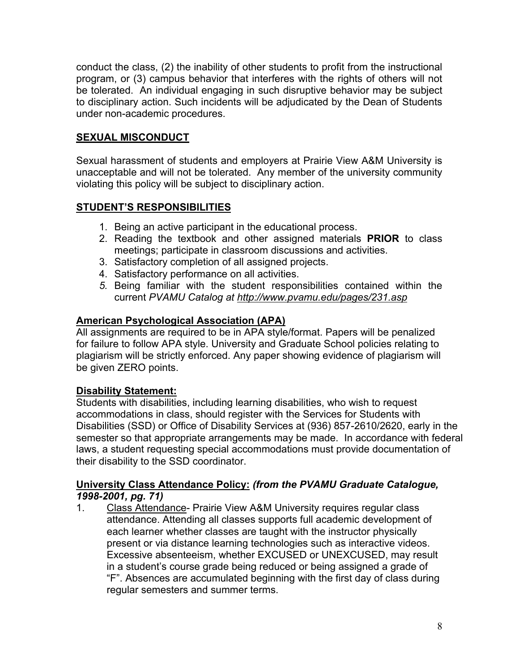conduct the class, (2) the inability of other students to profit from the instructional program, or (3) campus behavior that interferes with the rights of others will not be tolerated. An individual engaging in such disruptive behavior may be subject to disciplinary action. Such incidents will be adjudicated by the Dean of Students under non-academic procedures.

# **SEXUAL MISCONDUCT**

Sexual harassment of students and employers at Prairie View A&M University is unacceptable and will not be tolerated. Any member of the university community violating this policy will be subject to disciplinary action.

# **STUDENT'S RESPONSIBILITIES**

- 1. Being an active participant in the educational process.
- 2. Reading the textbook and other assigned materials **PRIOR** to class meetings; participate in classroom discussions and activities.
- 3. Satisfactory completion of all assigned projects.
- 4. Satisfactory performance on all activities.
- *5.* Being familiar with the student responsibilities contained within the current *PVAMU Catalog at http://www.pvamu.edu/pages/231.asp*

# **American Psychological Association (APA)**

All assignments are required to be in APA style/format. Papers will be penalized for failure to follow APA style. University and Graduate School policies relating to plagiarism will be strictly enforced. Any paper showing evidence of plagiarism will be given ZERO points.

# **Disability Statement:**

Students with disabilities, including learning disabilities, who wish to request accommodations in class, should register with the Services for Students with Disabilities (SSD) or Office of Disability Services at (936) 857-2610/2620, early in the semester so that appropriate arrangements may be made. In accordance with federal laws, a student requesting special accommodations must provide documentation of their disability to the SSD coordinator.

## **University Class Attendance Policy:** *(from the PVAMU Graduate Catalogue, 1998-2001, pg. 71)*

1. Class Attendance- Prairie View A&M University requires regular class attendance. Attending all classes supports full academic development of each learner whether classes are taught with the instructor physically present or via distance learning technologies such as interactive videos. Excessive absenteeism, whether EXCUSED or UNEXCUSED, may result in a student's course grade being reduced or being assigned a grade of "F". Absences are accumulated beginning with the first day of class during regular semesters and summer terms.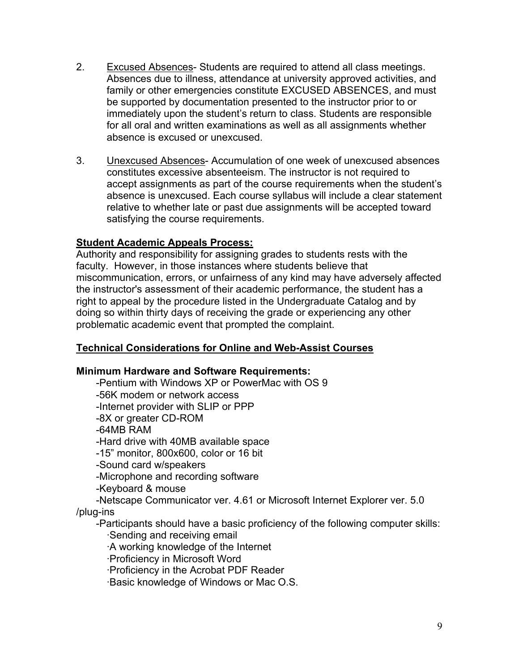- 2. Excused Absences- Students are required to attend all class meetings. Absences due to illness, attendance at university approved activities, and family or other emergencies constitute EXCUSED ABSENCES, and must be supported by documentation presented to the instructor prior to or immediately upon the student's return to class. Students are responsible for all oral and written examinations as well as all assignments whether absence is excused or unexcused.
- 3. Unexcused Absences- Accumulation of one week of unexcused absences constitutes excessive absenteeism. The instructor is not required to accept assignments as part of the course requirements when the student's absence is unexcused. Each course syllabus will include a clear statement relative to whether late or past due assignments will be accepted toward satisfying the course requirements.

## **Student Academic Appeals Process:**

Authority and responsibility for assigning grades to students rests with the faculty. However, in those instances where students believe that miscommunication, errors, or unfairness of any kind may have adversely affected the instructor's assessment of their academic performance, the student has a right to appeal by the procedure listed in the Undergraduate Catalog and by doing so within thirty days of receiving the grade or experiencing any other problematic academic event that prompted the complaint.

## **Technical Considerations for Online and Web-Assist Courses**

## **Minimum Hardware and Software Requirements:**

 -Pentium with Windows XP or PowerMac with OS 9 -56K modem or network access -Internet provider with SLIP or PPP -8X or greater CD-ROM -64MB RAM -Hard drive with 40MB available space -15" monitor, 800x600, color or 16 bit -Sound card w/speakers -Microphone and recording software -Keyboard & mouse -Netscape Communicator ver. 4.61 or Microsoft Internet Explorer ver. 5.0 /plug-ins -Participants should have a basic proficiency of the following computer skills: ·Sending and receiving email ·A working knowledge of the Internet ·Proficiency in Microsoft Word ·Proficiency in the Acrobat PDF Reader ·Basic knowledge of Windows or Mac O.S.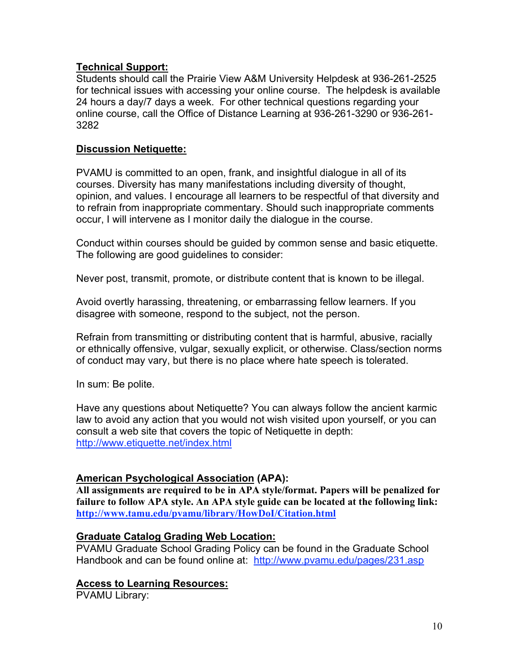## **Technical Support:**

Students should call the Prairie View A&M University Helpdesk at 936-261-2525 for technical issues with accessing your online course. The helpdesk is available 24 hours a day/7 days a week. For other technical questions regarding your online course, call the Office of Distance Learning at 936-261-3290 or 936-261- 3282

## **Discussion Netiquette:**

PVAMU is committed to an open, frank, and insightful dialogue in all of its courses. Diversity has many manifestations including diversity of thought, opinion, and values. I encourage all learners to be respectful of that diversity and to refrain from inappropriate commentary. Should such inappropriate comments occur, I will intervene as I monitor daily the dialogue in the course.

Conduct within courses should be guided by common sense and basic etiquette. The following are good guidelines to consider:

Never post, transmit, promote, or distribute content that is known to be illegal.

Avoid overtly harassing, threatening, or embarrassing fellow learners. If you disagree with someone, respond to the subject, not the person.

Refrain from transmitting or distributing content that is harmful, abusive, racially or ethnically offensive, vulgar, sexually explicit, or otherwise. Class/section norms of conduct may vary, but there is no place where hate speech is tolerated.

In sum: Be polite.

Have any questions about Netiquette? You can always follow the ancient karmic law to avoid any action that you would not wish visited upon yourself, or you can consult a web site that covers the topic of Netiquette in depth: http://www.etiquette.net/index.html

## **American Psychological Association (APA):**

**All assignments are required to be in APA style/format. Papers will be penalized for failure to follow APA style. An APA style guide can be located at the following link: http://www.tamu.edu/pvamu/library/HowDoI/Citation.html**

## **Graduate Catalog Grading Web Location:**

PVAMU Graduate School Grading Policy can be found in the Graduate School Handbook and can be found online at: http://www.pvamu.edu/pages/231.asp

## **Access to Learning Resources:**

PVAMU Library: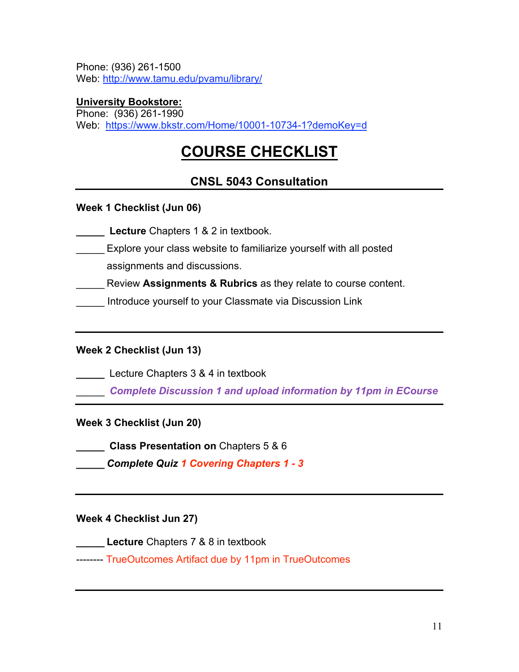Phone: (936) 261-1500 Web: http://www.tamu.edu/pvamu/library/

## **University Bookstore:**

Phone: (936) 261-1990 Web: https://www.bkstr.com/Home/10001-10734-1?demoKey=d

# **COURSE CHECKLIST**

# **CNSL 5043 Consultation**

## **Week 1 Checklist (Jun 06)**

**\_\_\_\_\_ Lecture** Chapters 1 & 2 in textbook.

Explore your class website to familiarize yourself with all posted

assignments and discussions.

Review **Assignments & Rubrics** as they relate to course content.

Introduce yourself to your Classmate via Discussion Link

## **Week 2 Checklist (Jun 13)**

**\_\_\_\_\_** Lecture Chapters 3 & 4 in textbook

\_\_\_\_\_ *Complete Discussion 1 and upload information by 11pm in ECourse*

**Week 3 Checklist (Jun 20)**

**\_\_\_\_\_ Class Presentation on** Chapters 5 & 6

**\_\_\_\_\_** *Complete Quiz 1 Covering Chapters 1 - 3*

## **Week 4 Checklist Jun 27)**

**\_\_\_\_\_ Lecture** Chapters 7 & 8 in textbook

-------- TrueOutcomes Artifact due by 11pm in TrueOutcomes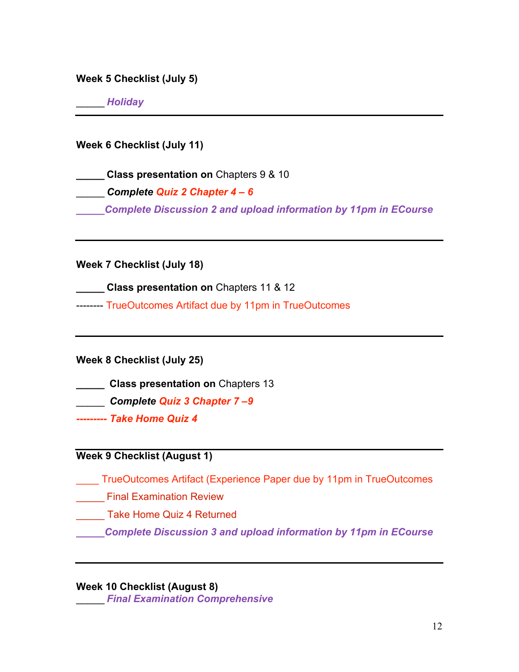**Week 5 Checklist (July 5)**

\_\_\_\_\_ *Holiday*

**Week 6 Checklist (July 11)**

**\_\_\_\_\_ Class presentation on** Chapters 9 & 10 \_\_\_\_\_ *Complete Quiz 2 Chapter 4 – 6 \_\_\_\_\_Complete Discussion 2 and upload information by 11pm in ECourse*

**Week 7 Checklist (July 18)**

**\_\_\_\_\_ Class presentation on** Chapters 11 & 12

-------- TrueOutcomes Artifact due by 11pm in TrueOutcomes

**Week 8 Checklist (July 25)**

**\_\_\_\_\_ Class presentation on** Chapters 13

\_\_\_\_\_ *Complete Quiz 3 Chapter 7 –9*

*--------- Take Home Quiz 4*

## **Week 9 Checklist (August 1)**

\_\_\_\_ TrueOutcomes Artifact (Experience Paper due by 11pm in TrueOutcomes

**\_\_\_\_\_\_** Final Examination Review

\_\_\_\_\_ Take Home Quiz 4 Returned

*\_\_\_\_\_Complete Discussion 3 and upload information by 11pm in ECourse*

**Week 10 Checklist (August 8)**

\_\_\_\_\_ *Final Examination Comprehensive*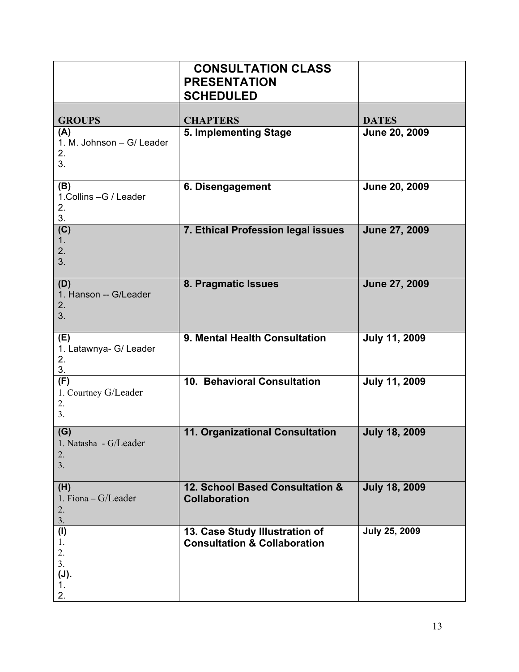|                                                               | <b>CONSULTATION CLASS</b><br><b>PRESENTATION</b><br><b>SCHEDULED</b>      |                      |
|---------------------------------------------------------------|---------------------------------------------------------------------------|----------------------|
|                                                               | <b>CHAPTERS</b>                                                           | <b>DATES</b>         |
| <b>GROUPS</b><br>(A)<br>1. M. Johnson - G/ Leader<br>2.<br>3. | 5. Implementing Stage                                                     | June 20, 2009        |
| (B)<br>1.Collins - G / Leader<br>2.<br>3.                     | 6. Disengagement                                                          | June 20, 2009        |
| (C)<br>1 <sub>1</sub><br>2.<br>3.                             | 7. Ethical Profession legal issues                                        | June 27, 2009        |
| (D)<br>1. Hanson -- G/Leader<br>2.<br>3.                      | 8. Pragmatic Issues                                                       | June 27, 2009        |
| (E)<br>1. Latawnya- G/ Leader<br>2.<br>3.                     | 9. Mental Health Consultation                                             | <b>July 11, 2009</b> |
| (F)<br>1. Courtney G/Leader<br>2.<br>3 <sub>1</sub>           | 10. Behavioral Consultation                                               | <b>July 11, 2009</b> |
| (G)<br>1. Natasha - G/Leader<br>2.<br>3.                      | 11. Organizational Consultation                                           | <b>July 18, 2009</b> |
| (H)<br>1. Fiona - G/Leader<br>2.<br>3.                        | 12. School Based Consultation &<br><b>Collaboration</b>                   | <b>July 18, 2009</b> |
| (1)<br>1.<br>2.<br>3.<br>(J).<br>1.<br>2.                     | 13. Case Study Illustration of<br><b>Consultation &amp; Collaboration</b> | <b>July 25, 2009</b> |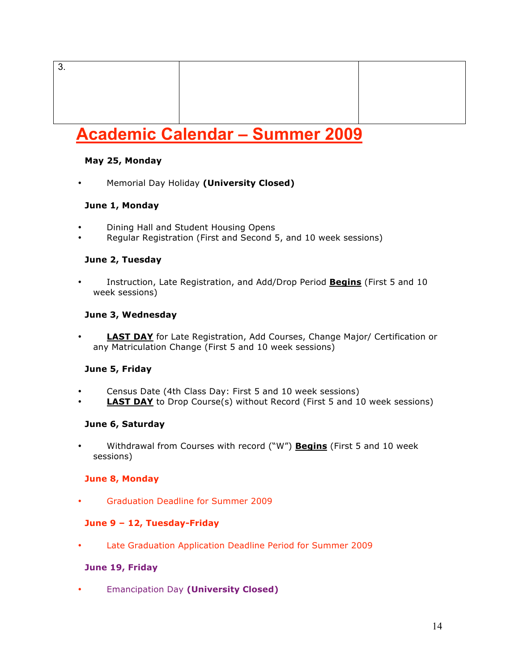# **Academic Calendar – Summer 2009**

#### **May 25, Monday**

3.

• Memorial Day Holiday **(University Closed)**

#### **June 1, Monday**

- Dining Hall and Student Housing Opens
- Regular Registration (First and Second 5, and 10 week sessions)

#### **June 2, Tuesday**

• Instruction, Late Registration, and Add/Drop Period **Begins** (First 5 and 10 week sessions)

#### **June 3, Wednesday**

• **LAST DAY** for Late Registration, Add Courses, Change Major/ Certification or any Matriculation Change (First 5 and 10 week sessions)

#### **June 5, Friday**

- Census Date (4th Class Day: First 5 and 10 week sessions)
- **LAST DAY** to Drop Course(s) without Record (First 5 and 10 week sessions)

#### **June 6, Saturday**

• Withdrawal from Courses with record ("W") **Begins** (First 5 and 10 week sessions)

#### **June 8, Monday**

• Graduation Deadline for Summer 2009

#### **June 9 – 12, Tuesday-Friday**

• Late Graduation Application Deadline Period for Summer 2009

#### **June 19, Friday**

• Emancipation Day **(University Closed)**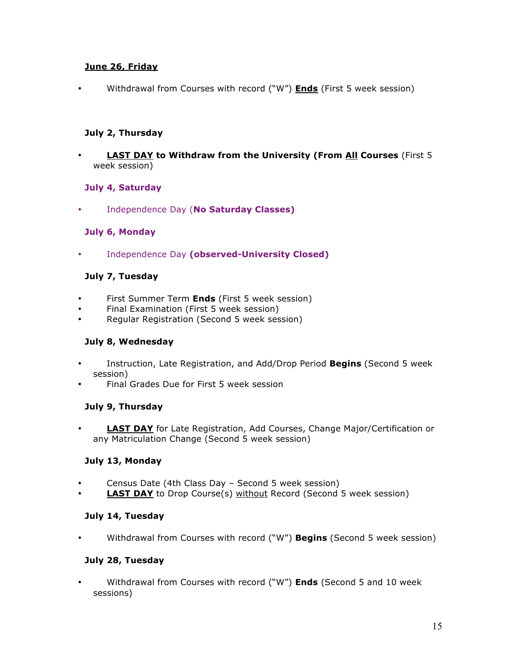#### **June 26, Friday**

• Withdrawal from Courses with record ("W") **Ends** (First 5 week session)

#### **July 2, Thursday**

**LAST DAY to Withdraw from the University (From All Courses** (First 5) week session)

#### **July 4, Saturday**

• Independence Day (**No Saturday Classes)**

#### **July 6, Monday**

• Independence Day **(observed-University Closed)** 

#### **July 7, Tuesday**

- First Summer Term **Ends** (First 5 week session)
- Final Examination (First 5 week session)
- Regular Registration (Second 5 week session)

#### **July 8, Wednesday**

- Instruction, Late Registration, and Add/Drop Period **Begins** (Second 5 week session)
- Final Grades Due for First 5 week session

#### **July 9, Thursday**

• **LAST DAY** for Late Registration, Add Courses, Change Major/Certification or any Matriculation Change (Second 5 week session)

#### **July 13, Monday**

- Census Date (4th Class Day Second 5 week session)
- **LAST DAY** to Drop Course(s) without Record (Second 5 week session)

#### **July 14, Tuesday**

• Withdrawal from Courses with record ("W") **Begins** (Second 5 week session)

#### **July 28, Tuesday**

• Withdrawal from Courses with record ("W") **Ends** (Second 5 and 10 week sessions)